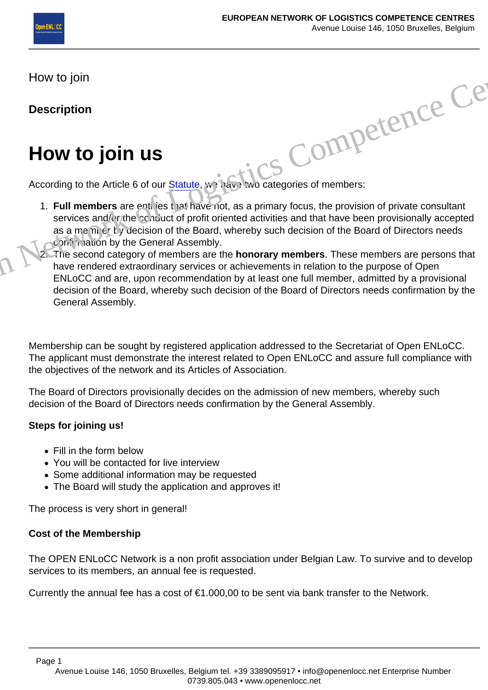How to join

**Description** 

## How to join us

According to the Article 6 of our Statule, we have two categories of members: Stics Competence

- 1. Full members are entities that have not, as a primary focus, the provision of private consultant services and/or the conduct of profit oriented activities and that have been provisionally accepted as a member of the Board, whereby such decision of the Board of Directors needs **confirmation by the General Assembly.**
- The second category of members are the honorary members . These members are persons that have rendered extraordinary services or achievements in relation to the purpose of Open ENLoCC and are, upon recommendation by at least one full member, admitted by a provisional decision of the Board, whereby such decision of the Board of Directors needs confirmation by the General Assembly.

Membership can be sought by registered application addressed to the Secretariat of Open ENLoCC. The applicant must demonstrate the interest related to Open ENLoCC and assure full compliance with the objectives of the network and its Articles of Association.

The Board of Directors provisionally decides on the admission of new members, whereby such decision of the Board of Directors needs confirmation by the General Assembly.

Steps for joining us!

- Fill in the form below
- You will be contacted for live interview
- Some additional information may be requested
- The Board will study the application and approves it!

The process is very short in general!

Cost of the Membership

The OPEN ENLoCC Network is a non profit association under Belgian Law. To survive and to develop services to its members, an annual fee is requested.

Currently the annual fee has a cost of  $\epsilon$ 1.000,00 to be sent via bank transfer to the Network.

Page 1